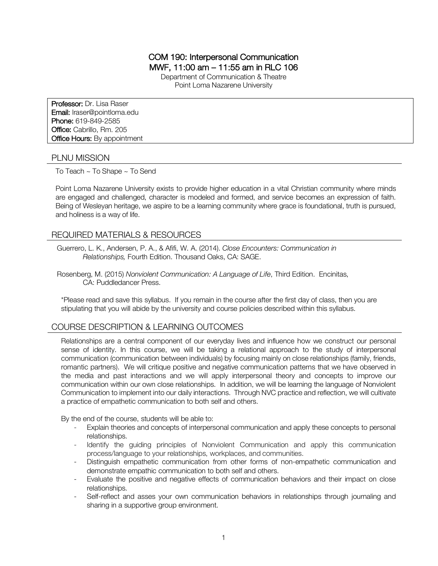# COM 190: Interpersonal Communication MWF, 11:00 am – 11:55 am in RLC 106

Department of Communication & Theatre Point Loma Nazarene University

Professor: Dr. Lisa Raser Email: lraser@pointloma.edu Phone: 619-849-2585 Office: Cabrillo, Rm. 205 **Office Hours: By appointment** 

### PLNU MISSION

To Teach ~ To Shape ~ To Send

Point Loma Nazarene University exists to provide higher education in a vital Christian community where minds are engaged and challenged, character is modeled and formed, and service becomes an expression of faith. Being of Wesleyan heritage, we aspire to be a learning community where grace is foundational, truth is pursued, and holiness is a way of life.

## REQUIRED MATERIALS & RESOURCES

Guerrero, L. K., Andersen, P. A., & Afifi, W. A. (2014). *Close Encounters: Communication in Relationships,* Fourth Edition. Thousand Oaks, CA: SAGE.

Rosenberg, M. (2015) *Nonviolent Communication: A Language of Life*, Third Edition. Encinitas, CA: Puddledancer Press.

\*Please read and save this syllabus. If you remain in the course after the first day of class, then you are stipulating that you will abide by the university and course policies described within this syllabus.

## COURSE DESCRIPTION & LEARNING OUTCOMES

Relationships are a central component of our everyday lives and influence how we construct our personal sense of identity. In this course, we will be taking a relational approach to the study of interpersonal communication (communication between individuals) by focusing mainly on close relationships (family, friends, romantic partners). We will critique positive and negative communication patterns that we have observed in the media and past interactions and we will apply interpersonal theory and concepts to improve our communication within our own close relationships. In addition, we will be learning the language of Nonviolent Communication to implement into our daily interactions. Through NVC practice and reflection, we will cultivate a practice of empathetic communication to both self and others.

By the end of the course, students will be able to:

- Explain theories and concepts of interpersonal communication and apply these concepts to personal relationships.
- Identify the guiding principles of Nonviolent Communication and apply this communication process/language to your relationships, workplaces, and communities.
- Distinguish empathetic communication from other forms of non-empathetic communication and demonstrate empathic communication to both self and others.
- Evaluate the positive and negative effects of communication behaviors and their impact on close relationships.
- Self-reflect and asses your own communication behaviors in relationships through journaling and sharing in a supportive group environment.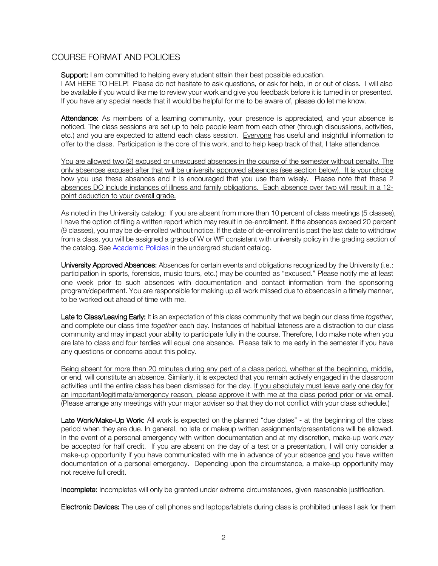# COURSE FORMAT AND POLICIES

Support: I am committed to helping every student attain their best possible education.

I AM HERE TO HELP! Please do not hesitate to ask questions, or ask for help, in or out of class. I will also be available if you would like me to review your work and give you feedback before it is turned in or presented. If you have any special needs that it would be helpful for me to be aware of, please do let me know.

Attendance: As members of a learning community, your presence is appreciated, and your absence is noticed. The class sessions are set up to help people learn from each other (through discussions, activities, etc.) and you are expected to attend each class session. Everyone has useful and insightful information to offer to the class. Participation is the core of this work, and to help keep track of that, I take attendance.

You are allowed two (2) excused or unexcused absences in the course of the semester without penalty. The only absences excused after that will be university approved absences (see section below). It is your choice how you use these absences and it is encouraged that you use them wisely. Please note that these 2 absences DO include instances of illness and family obligations. Each absence over two will result in a 12 point deduction to your overall grade.

As noted in the University catalog: If you are absent from more than 10 percent of class meetings (5 classes), I have the option of filing a written report which may result in de-enrollment. If the absences exceed 20 percent (9 classes), you may be de-enrolled without notice. If the date of de-enrollment is past the last date to withdraw from a class, you will be assigned a grade of W or WF consistent with university policy in the grading section of the catalog. See **Academic Policies** in the undergrad student catalog.

University Approved Absences: Absences for certain events and obligations recognized by the University (i.e.: participation in sports, forensics, music tours, etc.) may be counted as "excused." Please notify me at least one week prior to such absences with documentation and contact information from the sponsoring program/department. You are responsible for making up all work missed due to absences in a timely manner, to be worked out ahead of time with me.

Late to Class/Leaving Early: It is an expectation of this class community that we begin our class time *together*, and complete our class time *together* each day. Instances of habitual lateness are a distraction to our class community and may impact your ability to participate fully in the course. Therefore, I do make note when you are late to class and four tardies will equal one absence. Please talk to me early in the semester if you have any questions or concerns about this policy.

Being absent for more than 20 minutes during any part of a class period, whether at the beginning, middle, or end, will constitute an absence. Similarly, it is expected that you remain actively engaged in the classroom activities until the entire class has been dismissed for the day. If you absolutely must leave early one day for an important/legitimate/emergency reason, please approve it with me at the class period prior or via email. (Please arrange any meetings with your major adviser so that they do not conflict with your class schedule.)

Late Work/Make-Up Work: All work is expected on the planned "due dates" - at the beginning of the class period when they are due. In general, no late or makeup written assignments/presentations will be allowed. In the event of a personal emergency with written documentation and at my discretion, make-up work *may* be accepted for half credit. If you are absent on the day of a test or a presentation, I will only consider a make-up opportunity if you have communicated with me in advance of your absence and you have written documentation of a personal emergency. Depending upon the circumstance, a make-up opportunity may not receive full credit.

Incomplete: Incompletes will only be granted under extreme circumstances, given reasonable justification.

Electronic Devices: The use of cell phones and laptops/tablets during class is prohibited unless I ask for them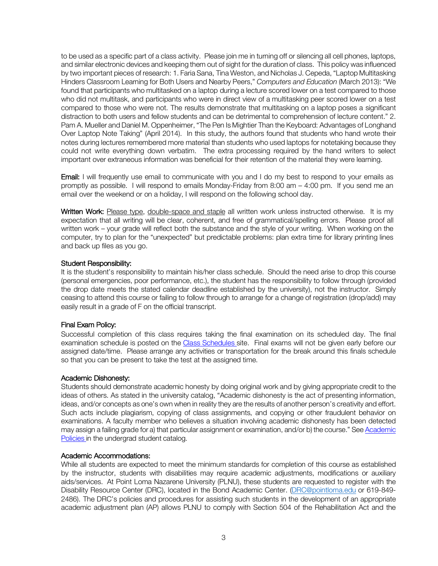to be used as a specific part of a class activity. Please join me in turning off or silencing all cell phones, laptops, and similar electronic devices and keeping them out of sight for the duration of class. This policy was influenced by two important pieces of research: 1. Faria Sana, Tina Weston, and Nicholas J. Cepeda, "Laptop Multitasking Hinders Classroom Learning for Both Users and Nearby Peers," *Computers and Education* (March 2013): "We found that participants who multitasked on a laptop during a lecture scored lower on a test compared to those who did not multitask, and participants who were in direct view of a multitasking peer scored lower on a test compared to those who were not. The results demonstrate that multitasking on a laptop poses a significant distraction to both users and fellow students and can be detrimental to comprehension of lecture content." 2. Pam A. Mueller and Daniel M. Oppenheimer, "The Pen Is Mightier Than the Keyboard: Advantages of Longhand Over Laptop Note Taking" (April 2014). In this study, the authors found that students who hand wrote their notes during lectures remembered more material than students who used laptops for notetaking because they could not write everything down verbatim. The extra processing required by the hand writers to select important over extraneous information was beneficial for their retention of the material they were learning.

Email: I will frequently use email to communicate with you and I do my best to respond to your emails as promptly as possible. I will respond to emails Monday-Friday from 8:00 am – 4:00 pm. If you send me an email over the weekend or on a holiday, I will respond on the following school day.

Written Work: Please type, double-space and staple all written work unless instructed otherwise. It is my expectation that all writing will be clear, coherent, and free of grammatical/spelling errors. Please proof all written work – your grade will reflect both the substance and the style of your writing. When working on the computer, try to plan for the "unexpected" but predictable problems: plan extra time for library printing lines and back up files as you go.

#### Student Responsibility:

It is the student's responsibility to maintain his/her class schedule. Should the need arise to drop this course (personal emergencies, poor performance, etc.), the student has the responsibility to follow through (provided the drop date meets the stated calendar deadline established by the university), not the instructor. Simply ceasing to attend this course or failing to follow through to arrange for a change of registration (drop/add) may easily result in a grade of F on the official transcript.

### Final Exam Policy:

Successful completion of this class requires taking the final examination on its scheduled day. The final examination schedule is posted on the Class Schedules site. Final exams will not be given early before our assigned date/time. Please arrange any activities or transportation for the break around this finals schedule so that you can be present to take the test at the assigned time.

### Academic Dishonesty:

Students should demonstrate academic honesty by doing original work and by giving appropriate credit to the ideas of others. As stated in the university catalog, "Academic dishonesty is the act of presenting information, ideas, and/or concepts as one's own when in reality they are the results of another person's creativity and effort. Such acts include plagiarism, copying of class assignments, and copying or other fraudulent behavior on examinations. A faculty member who believes a situation involving academic dishonesty has been detected may assign a failing grade for a) that particular assignment or examination, and/or b) the course." See Academic Policies in the undergrad student catalog.

### Academic Accommodations:

While all students are expected to meet the minimum standards for completion of this course as established by the instructor, students with disabilities may require academic adjustments, modifications or auxiliary aids/services. At Point Loma Nazarene University (PLNU), these students are requested to register with the Disability Resource Center (DRC), located in the Bond Academic Center. (DRC@pointloma.edu or 619-849- 2486). The DRC's policies and procedures for assisting such students in the development of an appropriate academic adjustment plan (AP) allows PLNU to comply with Section 504 of the Rehabilitation Act and the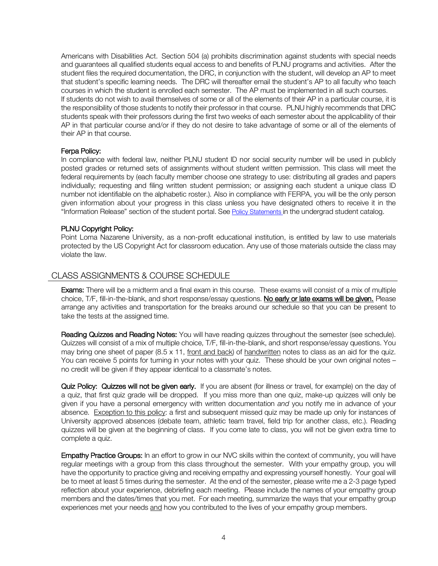Americans with Disabilities Act. Section 504 (a) prohibits discrimination against students with special needs and guarantees all qualified students equal access to and benefits of PLNU programs and activities. After the student files the required documentation, the DRC, in conjunction with the student, will develop an AP to meet that student's specific learning needs. The DRC will thereafter email the student's AP to all faculty who teach courses in which the student is enrolled each semester. The AP must be implemented in all such courses. If students do not wish to avail themselves of some or all of the elements of their AP in a particular course, it is the responsibility of those students to notify their professor in that course. PLNU highly recommends that DRC students speak with their professors during the first two weeks of each semester about the applicability of their AP in that particular course and/or if they do not desire to take advantage of some or all of the elements of their AP in that course.

#### Ferpa Policy:

In compliance with federal law, neither PLNU student ID nor social security number will be used in publicly posted grades or returned sets of assignments without student written permission. This class will meet the federal requirements by (each faculty member choose one strategy to use: distributing all grades and papers individually; requesting and filing written student permission; or assigning each student a unique class ID number not identifiable on the alphabetic roster.). Also in compliance with FERPA, you will be the only person given information about your progress in this class unless you have designated others to receive it in the "Information Release" section of the student portal. See Policy Statements in the undergrad student catalog.

#### PLNU Copyright Policy:

Point Loma Nazarene University, as a non-profit educational institution, is entitled by law to use materials protected by the US Copyright Act for classroom education. Any use of those materials outside the class may violate the law.

## CLASS ASSIGNMENTS & COURSE SCHEDULE

Exams: There will be a midterm and a final exam in this course. These exams will consist of a mix of multiple choice, T/F, fill-in-the-blank, and short response/essay questions. No early or late exams will be given. Please arrange any activities and transportation for the breaks around our schedule so that you can be present to take the tests at the assigned time.

Reading Quizzes and Reading Notes: You will have reading quizzes throughout the semester (see schedule). Quizzes will consist of a mix of multiple choice, T/F, fill-in-the-blank, and short response/essay questions. You may bring one sheet of paper (8.5 x 11, front and back) of handwritten notes to class as an aid for the quiz. You can receive 5 points for turning in your notes with your quiz. These should be your own original notes no credit will be given if they appear identical to a classmate's notes.

Quiz Policy: Quizzes will not be given early. If you are absent (for illness or travel, for example) on the day of a quiz, that first quiz grade will be dropped. If you miss more than one quiz, make-up quizzes will only be given if you have a personal emergency with written documentation *and* you notify me in advance of your absence. Exception to this policy: a first and subsequent missed quiz may be made up only for instances of University approved absences (debate team, athletic team travel, field trip for another class, etc.). Reading quizzes will be given at the beginning of class. If you come late to class, you will not be given extra time to complete a quiz.

Empathy Practice Groups: In an effort to grow in our NVC skills within the context of community, you will have regular meetings with a group from this class throughout the semester. With your empathy group, you will have the opportunity to practice giving and receiving empathy and expressing yourself honestly. Your goal will be to meet at least 5 times during the semester. At the end of the semester, please write me a 2-3 page typed reflection about your experience, debriefing each meeting. Please include the names of your empathy group members and the dates/times that you met. For each meeting, summarize the ways that your empathy group experiences met your needs and how you contributed to the lives of your empathy group members.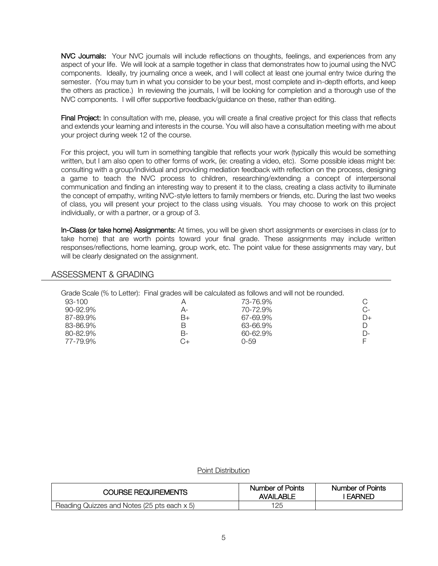NVC Journals: Your NVC journals will include reflections on thoughts, feelings, and experiences from any aspect of your life. We will look at a sample together in class that demonstrates how to journal using the NVC components. Ideally, try journaling once a week, and I will collect at least one journal entry twice during the semester. (You may turn in what you consider to be your best, most complete and in-depth efforts, and keep the others as practice.) In reviewing the journals, I will be looking for completion and a thorough use of the NVC components. I will offer supportive feedback/guidance on these, rather than editing.

Final Project: In consultation with me, please, you will create a final creative project for this class that reflects and extends your learning and interests in the course. You will also have a consultation meeting with me about your project during week 12 of the course.

For this project, you will turn in something tangible that reflects your work (typically this would be something written, but I am also open to other forms of work, (ie: creating a video, etc). Some possible ideas might be: consulting with a group/individual and providing mediation feedback with reflection on the process, designing a game to teach the NVC process to children, researching/extending a concept of interpersonal communication and finding an interesting way to present it to the class, creating a class activity to illuminate the concept of empathy, writing NVC-style letters to family members or friends, etc. During the last two weeks of class, you will present your project to the class using visuals. You may choose to work on this project individually, or with a partner, or a group of 3.

In-Class (or take home) Assignments: At times, you will be given short assignments or exercises in class (or to take home) that are worth points toward your final grade. These assignments may include written responses/reflections, home learning, group work, etc. The point value for these assignments may vary, but will be clearly designated on the assignment.

## ASSESSMENT & GRADING

|               |      | Grade Scale (% to Letter): Final grades will be calculated as follows and will not be rounded. |      |
|---------------|------|------------------------------------------------------------------------------------------------|------|
| 93-100        |      | 73-76.9%                                                                                       |      |
| $90 - 92.9\%$ | А-   | 70-72.9%                                                                                       | $C-$ |
| 87-89.9%      | $B+$ | 67-69.9%                                                                                       | $D+$ |
| 83-86.9%      | B    | 63-66.9%                                                                                       |      |
| 80-82.9%      | В-   | 60-62.9%                                                                                       | D-   |
| 77-79.9%      |      | Ი-59                                                                                           |      |

Point Distribution

| <b>COURSE REQUIREMENTS</b>                  | Number of Points<br><b>AVAILABLE</b> | Number of Points<br><b>FARNED</b> |
|---------------------------------------------|--------------------------------------|-----------------------------------|
| Reading Quizzes and Notes (25 pts each x 5) | 125                                  |                                   |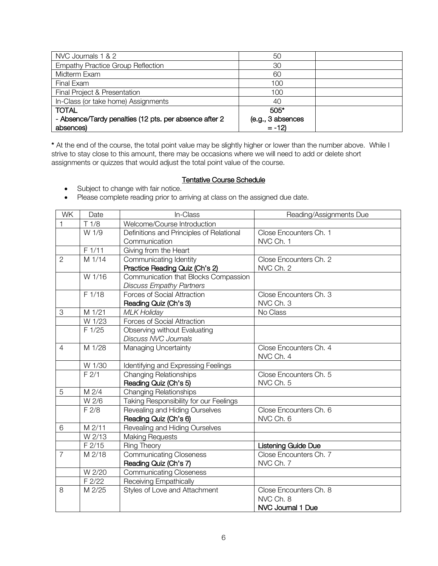| NVC Journals 1 & 2                                     | 50                |  |
|--------------------------------------------------------|-------------------|--|
| <b>Empathy Practice Group Reflection</b>               | 30                |  |
| Midterm Exam                                           | 60                |  |
| Final Exam                                             | 100               |  |
| Final Project & Presentation                           | 100               |  |
| In-Class (or take home) Assignments                    | 40                |  |
| <b>TOTAL</b>                                           | $505*$            |  |
| - Absence/Tardy penalties (12 pts. per absence after 2 | (e.g., 3 absences |  |
| absences)                                              | $= -12$           |  |

\* At the end of the course, the total point value may be slightly higher or lower than the number above. While I strive to stay close to this amount, there may be occasions where we will need to add or delete short assignments or quizzes that would adjust the total point value of the course.

### **Tentative Course Schedule**

- Subject to change with fair notice.
- Please complete reading prior to arriving at class on the assigned due date.

| <b>WK</b>      | Date     | In-Class                                 | Reading/Assignments Due    |
|----------------|----------|------------------------------------------|----------------------------|
|                | T 1/8    | Welcome/Course Introduction              |                            |
|                | W 1/9    | Definitions and Principles of Relational | Close Encounters Ch. 1     |
|                |          | Communication                            | NVC Ch. 1                  |
|                | F 1/11   | Giving from the Heart                    |                            |
| $\overline{2}$ | M 1/14   | Communicating Identity                   | Close Encounters Ch. 2     |
|                |          | Practice Reading Quiz (Ch's 2)           | NVC Ch. 2                  |
|                | W 1/16   | Communication that Blocks Compassion     |                            |
|                |          | <b>Discuss Empathy Partners</b>          |                            |
|                | $F$ 1/18 | <b>Forces of Social Attraction</b>       | Close Encounters Ch. 3     |
|                |          | Reading Quiz (Ch's 3)                    | NVC Ch. 3                  |
| 3              | M 1/21   | <b>MLK Holiday</b>                       | No Class                   |
|                | W 1/23   | <b>Forces of Social Attraction</b>       |                            |
|                | F 1/25   | Observing without Evaluating             |                            |
|                |          | <b>Discuss NVC Journals</b>              |                            |
| $\overline{4}$ | M 1/28   | Managing Uncertainty                     | Close Encounters Ch. 4     |
|                |          |                                          | NVC Ch. 4                  |
|                | W 1/30   | Identifying and Expressing Feelings      |                            |
|                | F2/1     | <b>Changing Relationships</b>            | Close Encounters Ch. 5     |
|                |          | Reading Quiz (Ch's 5)                    | NVC Ch. 5                  |
| 5              | M 2/4    | <b>Changing Relationships</b>            |                            |
|                | W 2/6    | Taking Responsibility for our Feelings   |                            |
|                | F2/8     | Revealing and Hiding Ourselves           | Close Encounters Ch. 6     |
|                |          | Reading Quiz (Ch's 6)                    | NVC Ch. 6                  |
| 6              | M 2/11   | Revealing and Hiding Ourselves           |                            |
|                | W 2/13   | <b>Making Requests</b>                   |                            |
|                | F 2/15   | Ring Theory                              | <b>Listening Guide Due</b> |
| $\overline{7}$ | M 2/18   | Communicating Closeness                  | Close Encounters Ch. 7     |
|                |          | Reading Quiz (Ch's 7)                    | NVC Ch. 7                  |
|                | W 2/20   | <b>Communicating Closeness</b>           |                            |
|                | F 2/22   | Receiving Empathically                   |                            |
| 8              | M 2/25   | Styles of Love and Attachment            | Close Encounters Ch. 8     |
|                |          |                                          | NVC Ch. 8                  |
|                |          |                                          | NVC Journal 1 Due          |